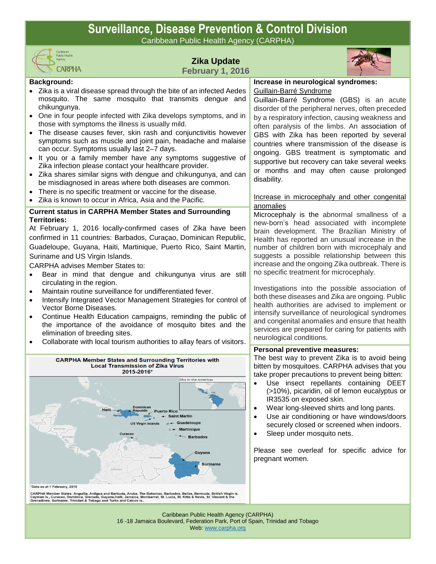## **Surveillance, Disease Prevention & Control Division**

Caribbean Public Health Agency (CARPHA)



## **Zika Update February 1, 2016**



#### **Background:**

- Zika is a viral disease spread through the bite of an infected Aedes mosquito. The same mosquito that transmits dengue and chikungunya.
- One in four people infected with Zika develops symptoms, and in those with symptoms the illness is usually mild.
- The disease causes fever, skin rash and conjunctivitis however symptoms such as muscle and joint pain, headache and malaise can occur. Symptoms usually last 2–7 days.
- It you or a family member have any symptoms suggestive of Zika infection please contact your healthcare provider.
- Zika shares similar signs with dengue and chikungunya, and can be misdiagnosed in areas where both diseases are common.
- There is no specific treatment or vaccine for the disease.
- Zika is known to occur in Africa, Asia and the Pacific.

## **Current status in CARPHA Member States and Surrounding Territories:**

At February 1, 2016 locally-confirmed cases of Zika have been confirmed in 11 countries: Barbados, Curaçao, Dominican Republic, Guadeloupe, Guyana, Haiti, Martinique, Puerto Rico, Saint Martin, Suriname and US Virgin Islands.

CARPHA advises Member States to:

- Bear in mind that dengue and chikungunya virus are still circulating in the region.
- Maintain routine surveillance for undifferentiated fever.
- Intensify Integrated Vector Management Strategies for control of Vector Borne Diseases.
- Continue Health Education campaigns, reminding the public of the importance of the avoidance of mosquito bites and the elimination of breeding sites.
- Collaborate with local tourism authorities to allay fears of visitors.



CARPHA Member States: Anguilla, Antigua and Barbuda, Aruba, The Bahamas, Barbados, Belize, Bermuda, British Virgin Is.<br>Cayman Is., Curacao, Dominica, Grenada, Guyana,Haiti, Jamaica, Montserrat, St. Lucia, St. Kitts & Nevis

**Increase in neurological syndromes:** Guillain-Barré Syndrome

Guillain-Barré Syndrome (GBS) is an acute disorder of the peripheral nerves, often preceded by a respiratory infection, causing weakness and often paralysis of the limbs. An association of GBS with Zika has been reported by several countries where transmission of the disease is ongoing. GBS treatment is symptomatic and supportive but recovery can take several weeks or months and may often cause prolonged disability.

### Increase in microcephaly and other congenital anomalies

Microcephaly is the abnormal smallness of a new-born's head associated with incomplete brain development. The Brazilian Ministry of Health has reported an unusual increase in the number of children born with microcephaly and suggests a possible relationship between this increase and the ongoing Zika outbreak. There is no specific treatment for microcephaly.

Investigations into the possible association of both these diseases and Zika are ongoing. Public health authorities are advised to implement or intensify surveillance of neurological syndromes and congenital anomalies and ensure that health services are prepared for caring for patients with neurological conditions.

#### **Personal preventive measures:**

The best way to prevent Zika is to avoid being bitten by mosquitoes. CARPHA advises that you take proper precautions to prevent being bitten:

- Use insect repellants containing DEET (>10%), picaridin, oil of lemon eucalyptus or IR3535 on exposed skin.
- Wear long-sleeved shirts and long pants.
- Use air conditioning or have windows/doors securely closed or screened when indoors.
- Sleep under mosquito nets.

Please see overleaf for specific advice for pregnant women.

Caribbean Public Health Agency (CARPHA) 16 -18 Jamaica Boulevard, Federation Park, Port of Spain, Trinidad and Tobago Web[: www.carpha.org](http://www.carpha.org/)